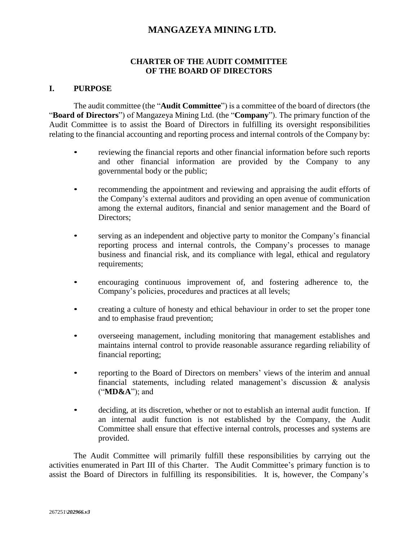# **MANGAZEYA MINING LTD.**

### **CHARTER OF THE AUDIT COMMITTEE OF THE BOARD OF DIRECTORS**

#### **I. PURPOSE**

The audit committee (the "**Audit Committee**") is a committee of the board of directors (the "**Board of Directors**") of Mangazeya Mining Ltd. (the "**Company**"). The primary function of the Audit Committee is to assist the Board of Directors in fulfilling its oversight responsibilities relating to the financial accounting and reporting process and internal controls of the Company by:

- reviewing the financial reports and other financial information before such reports and other financial information are provided by the Company to any governmental body or the public;
- recommending the appointment and reviewing and appraising the audit efforts of the Company's external auditors and providing an open avenue of communication among the external auditors, financial and senior management and the Board of Directors;
- serving as an independent and objective party to monitor the Company's financial reporting process and internal controls, the Company's processes to manage business and financial risk, and its compliance with legal, ethical and regulatory requirements;
- encouraging continuous improvement of, and fostering adherence to, the Company's policies, procedures and practices at all levels;
- creating a culture of honesty and ethical behaviour in order to set the proper tone and to emphasise fraud prevention;
- overseeing management, including monitoring that management establishes and maintains internal control to provide reasonable assurance regarding reliability of financial reporting;
- reporting to the Board of Directors on members' views of the interim and annual financial statements, including related management's discussion & analysis ("**MD&A**"); and
- deciding, at its discretion, whether or not to establish an internal audit function. If an internal audit function is not established by the Company, the Audit Committee shall ensure that effective internal controls, processes and systems are provided.

The Audit Committee will primarily fulfill these responsibilities by carrying out the activities enumerated in Part III of this Charter. The Audit Committee's primary function is to assist the Board of Directors in fulfilling its responsibilities. It is, however, the Company's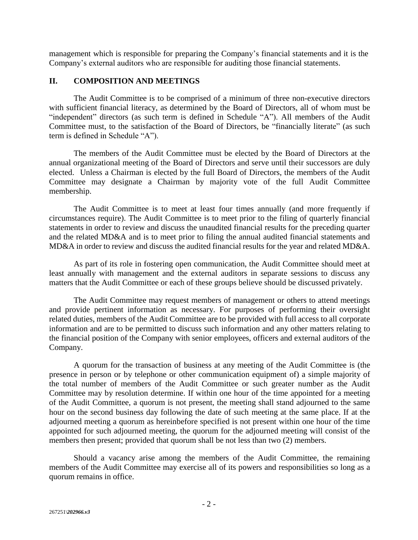management which is responsible for preparing the Company's financial statements and it is the Company's external auditors who are responsible for auditing those financial statements.

### **II. COMPOSITION AND MEETINGS**

The Audit Committee is to be comprised of a minimum of three non-executive directors with sufficient financial literacy, as determined by the Board of Directors, all of whom must be "independent" directors (as such term is defined in Schedule "A"). All members of the Audit Committee must, to the satisfaction of the Board of Directors, be "financially literate" (as such term is defined in Schedule "A").

The members of the Audit Committee must be elected by the Board of Directors at the annual organizational meeting of the Board of Directors and serve until their successors are duly elected. Unless a Chairman is elected by the full Board of Directors, the members of the Audit Committee may designate a Chairman by majority vote of the full Audit Committee membership.

The Audit Committee is to meet at least four times annually (and more frequently if circumstances require). The Audit Committee is to meet prior to the filing of quarterly financial statements in order to review and discuss the unaudited financial results for the preceding quarter and the related MD&A and is to meet prior to filing the annual audited financial statements and MD&A in order to review and discuss the audited financial results for the year and related MD&A.

As part of its role in fostering open communication, the Audit Committee should meet at least annually with management and the external auditors in separate sessions to discuss any matters that the Audit Committee or each of these groups believe should be discussed privately.

The Audit Committee may request members of management or others to attend meetings and provide pertinent information as necessary. For purposes of performing their oversight related duties, members of the Audit Committee are to be provided with full access to all corporate information and are to be permitted to discuss such information and any other matters relating to the financial position of the Company with senior employees, officers and external auditors of the Company.

A quorum for the transaction of business at any meeting of the Audit Committee is (the presence in person or by telephone or other communication equipment of) a simple majority of the total number of members of the Audit Committee or such greater number as the Audit Committee may by resolution determine. If within one hour of the time appointed for a meeting of the Audit Committee, a quorum is not present, the meeting shall stand adjourned to the same hour on the second business day following the date of such meeting at the same place. If at the adjourned meeting a quorum as hereinbefore specified is not present within one hour of the time appointed for such adjourned meeting, the quorum for the adjourned meeting will consist of the members then present; provided that quorum shall be not less than two (2) members.

Should a vacancy arise among the members of the Audit Committee, the remaining members of the Audit Committee may exercise all of its powers and responsibilities so long as a quorum remains in office.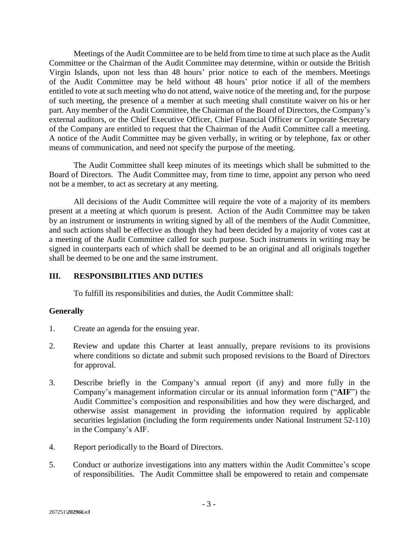Meetings of the Audit Committee are to be held from time to time at such place as the Audit Committee or the Chairman of the Audit Committee may determine, within or outside the British Virgin Islands, upon not less than 48 hours' prior notice to each of the members. Meetings of the Audit Committee may be held without 48 hours' prior notice if all of the members entitled to vote at such meeting who do not attend, waive notice of the meeting and, for the purpose of such meeting, the presence of a member at such meeting shall constitute waiver on his or her part. Any member of the Audit Committee, the Chairman of the Board of Directors, the Company's external auditors, or the Chief Executive Officer, Chief Financial Officer or Corporate Secretary of the Company are entitled to request that the Chairman of the Audit Committee call a meeting. A notice of the Audit Committee may be given verbally, in writing or by telephone, fax or other means of communication, and need not specify the purpose of the meeting.

The Audit Committee shall keep minutes of its meetings which shall be submitted to the Board of Directors. The Audit Committee may, from time to time, appoint any person who need not be a member, to act as secretary at any meeting.

All decisions of the Audit Committee will require the vote of a majority of its members present at a meeting at which quorum is present. Action of the Audit Committee may be taken by an instrument or instruments in writing signed by all of the members of the Audit Committee, and such actions shall be effective as though they had been decided by a majority of votes cast at a meeting of the Audit Committee called for such purpose. Such instruments in writing may be signed in counterparts each of which shall be deemed to be an original and all originals together shall be deemed to be one and the same instrument.

# **III. RESPONSIBILITIES AND DUTIES**

To fulfill its responsibilities and duties, the Audit Committee shall:

# **Generally**

- 1. Create an agenda for the ensuing year.
- 2. Review and update this Charter at least annually, prepare revisions to its provisions where conditions so dictate and submit such proposed revisions to the Board of Directors for approval.
- 3. Describe briefly in the Company's annual report (if any) and more fully in the Company's management information circular or its annual information form ("**AIF**") the Audit Committee's composition and responsibilities and how they were discharged, and otherwise assist management in providing the information required by applicable securities legislation (including the form requirements under National Instrument 52-110) in the Company's AIF.
- 4. Report periodically to the Board of Directors.
- 5. Conduct or authorize investigations into any matters within the Audit Committee's scope of responsibilities. The Audit Committee shall be empowered to retain and compensate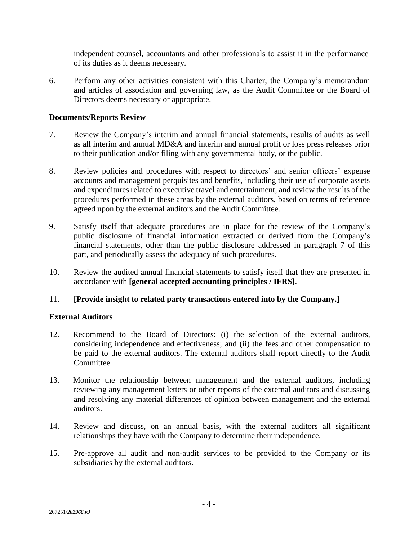independent counsel, accountants and other professionals to assist it in the performance of its duties as it deems necessary.

6. Perform any other activities consistent with this Charter, the Company's memorandum and articles of association and governing law, as the Audit Committee or the Board of Directors deems necessary or appropriate.

### **Documents/Reports Review**

- 7. Review the Company's interim and annual financial statements, results of audits as well as all interim and annual MD&A and interim and annual profit or loss press releases prior to their publication and/or filing with any governmental body, or the public.
- 8. Review policies and procedures with respect to directors' and senior officers' expense accounts and management perquisites and benefits, including their use of corporate assets and expenditures related to executive travel and entertainment, and review the results of the procedures performed in these areas by the external auditors, based on terms of reference agreed upon by the external auditors and the Audit Committee.
- 9. Satisfy itself that adequate procedures are in place for the review of the Company's public disclosure of financial information extracted or derived from the Company's financial statements, other than the public disclosure addressed in paragraph 7 of this part, and periodically assess the adequacy of such procedures.
- 10. Review the audited annual financial statements to satisfy itself that they are presented in accordance with **[general accepted accounting principles / IFRS]**.

### 11. **[Provide insight to related party transactions entered into by the Company.]**

### **External Auditors**

- 12. Recommend to the Board of Directors: (i) the selection of the external auditors, considering independence and effectiveness; and (ii) the fees and other compensation to be paid to the external auditors. The external auditors shall report directly to the Audit Committee.
- 13. Monitor the relationship between management and the external auditors, including reviewing any management letters or other reports of the external auditors and discussing and resolving any material differences of opinion between management and the external auditors.
- 14. Review and discuss, on an annual basis, with the external auditors all significant relationships they have with the Company to determine their independence.
- 15. Pre-approve all audit and non-audit services to be provided to the Company or its subsidiaries by the external auditors.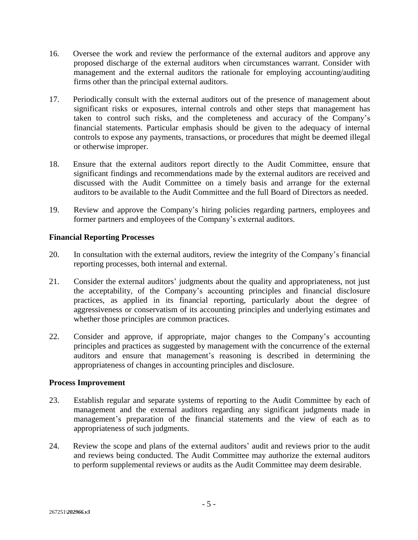- 16. Oversee the work and review the performance of the external auditors and approve any proposed discharge of the external auditors when circumstances warrant. Consider with management and the external auditors the rationale for employing accounting/auditing firms other than the principal external auditors.
- 17. Periodically consult with the external auditors out of the presence of management about significant risks or exposures, internal controls and other steps that management has taken to control such risks, and the completeness and accuracy of the Company's financial statements. Particular emphasis should be given to the adequacy of internal controls to expose any payments, transactions, or procedures that might be deemed illegal or otherwise improper.
- 18. Ensure that the external auditors report directly to the Audit Committee, ensure that significant findings and recommendations made by the external auditors are received and discussed with the Audit Committee on a timely basis and arrange for the external auditors to be available to the Audit Committee and the full Board of Directors as needed.
- 19. Review and approve the Company's hiring policies regarding partners, employees and former partners and employees of the Company's external auditors.

### **Financial Reporting Processes**

- 20. In consultation with the external auditors, review the integrity of the Company's financial reporting processes, both internal and external.
- 21. Consider the external auditors' judgments about the quality and appropriateness, not just the acceptability, of the Company's accounting principles and financial disclosure practices, as applied in its financial reporting, particularly about the degree of aggressiveness or conservatism of its accounting principles and underlying estimates and whether those principles are common practices.
- 22. Consider and approve, if appropriate, major changes to the Company's accounting principles and practices as suggested by management with the concurrence of the external auditors and ensure that management's reasoning is described in determining the appropriateness of changes in accounting principles and disclosure.

### **Process Improvement**

- 23. Establish regular and separate systems of reporting to the Audit Committee by each of management and the external auditors regarding any significant judgments made in management's preparation of the financial statements and the view of each as to appropriateness of such judgments.
- 24. Review the scope and plans of the external auditors' audit and reviews prior to the audit and reviews being conducted. The Audit Committee may authorize the external auditors to perform supplemental reviews or audits as the Audit Committee may deem desirable.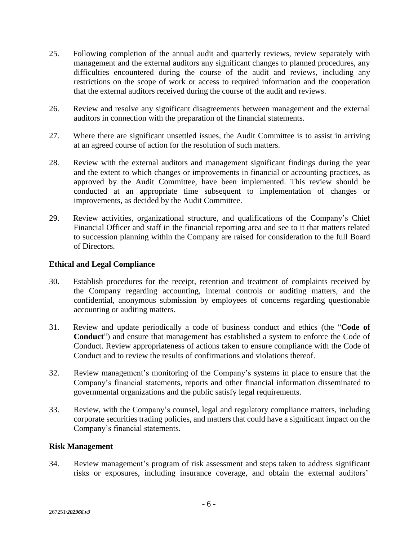- 25. Following completion of the annual audit and quarterly reviews, review separately with management and the external auditors any significant changes to planned procedures, any difficulties encountered during the course of the audit and reviews, including any restrictions on the scope of work or access to required information and the cooperation that the external auditors received during the course of the audit and reviews.
- 26. Review and resolve any significant disagreements between management and the external auditors in connection with the preparation of the financial statements.
- 27. Where there are significant unsettled issues, the Audit Committee is to assist in arriving at an agreed course of action for the resolution of such matters.
- 28. Review with the external auditors and management significant findings during the year and the extent to which changes or improvements in financial or accounting practices, as approved by the Audit Committee, have been implemented. This review should be conducted at an appropriate time subsequent to implementation of changes or improvements, as decided by the Audit Committee.
- 29. Review activities, organizational structure, and qualifications of the Company's Chief Financial Officer and staff in the financial reporting area and see to it that matters related to succession planning within the Company are raised for consideration to the full Board of Directors.

### **Ethical and Legal Compliance**

- 30. Establish procedures for the receipt, retention and treatment of complaints received by the Company regarding accounting, internal controls or auditing matters, and the confidential, anonymous submission by employees of concerns regarding questionable accounting or auditing matters.
- 31. Review and update periodically a code of business conduct and ethics (the "**Code of Conduct**") and ensure that management has established a system to enforce the Code of Conduct. Review appropriateness of actions taken to ensure compliance with the Code of Conduct and to review the results of confirmations and violations thereof.
- 32. Review management's monitoring of the Company's systems in place to ensure that the Company's financial statements, reports and other financial information disseminated to governmental organizations and the public satisfy legal requirements.
- 33. Review, with the Company's counsel, legal and regulatory compliance matters, including corporate securities trading policies, and matters that could have a significant impact on the Company's financial statements.

### **Risk Management**

34. Review management's program of risk assessment and steps taken to address significant risks or exposures, including insurance coverage, and obtain the external auditors'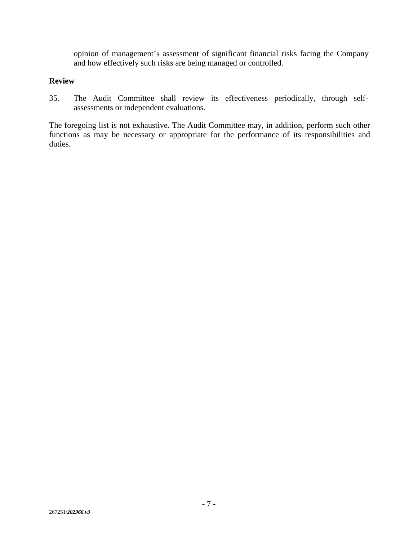opinion of management's assessment of significant financial risks facing the Company and how effectively such risks are being managed or controlled.

### **Review**

35. The Audit Committee shall review its effectiveness periodically, through selfassessments or independent evaluations.

The foregoing list is not exhaustive. The Audit Committee may, in addition, perform such other functions as may be necessary or appropriate for the performance of its responsibilities and duties.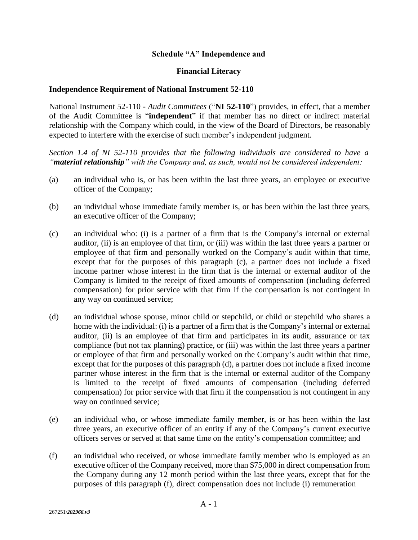### **Schedule "A" Independence and**

#### **Financial Literacy**

#### **Independence Requirement of National Instrument 52-110**

National Instrument 52-110 *- Audit Committees* ("**NI 52-110**") provides, in effect, that a member of the Audit Committee is "**independent**" if that member has no direct or indirect material relationship with the Company which could, in the view of the Board of Directors, be reasonably expected to interfere with the exercise of such member's independent judgment.

*Section 1.4 of NI 52-110 provides that the following individuals are considered to have a "material relationship" with the Company and, as such, would not be considered independent:*

- (a) an individual who is, or has been within the last three years, an employee or executive officer of the Company;
- (b) an individual whose immediate family member is, or has been within the last three years, an executive officer of the Company;
- (c) an individual who: (i) is a partner of a firm that is the Company's internal or external auditor, (ii) is an employee of that firm, or (iii) was within the last three years a partner or employee of that firm and personally worked on the Company's audit within that time, except that for the purposes of this paragraph (c), a partner does not include a fixed income partner whose interest in the firm that is the internal or external auditor of the Company is limited to the receipt of fixed amounts of compensation (including deferred compensation) for prior service with that firm if the compensation is not contingent in any way on continued service;
- (d) an individual whose spouse, minor child or stepchild, or child or stepchild who shares a home with the individual: (i) is a partner of a firm that is the Company's internal or external auditor, (ii) is an employee of that firm and participates in its audit, assurance or tax compliance (but not tax planning) practice, or (iii) was within the last three years a partner or employee of that firm and personally worked on the Company's audit within that time, except that for the purposes of this paragraph (d), a partner does not include a fixed income partner whose interest in the firm that is the internal or external auditor of the Company is limited to the receipt of fixed amounts of compensation (including deferred compensation) for prior service with that firm if the compensation is not contingent in any way on continued service;
- (e) an individual who, or whose immediate family member, is or has been within the last three years, an executive officer of an entity if any of the Company's current executive officers serves or served at that same time on the entity's compensation committee; and
- (f) an individual who received, or whose immediate family member who is employed as an executive officer of the Company received, more than \$75,000 in direct compensation from the Company during any 12 month period within the last three years, except that for the purposes of this paragraph (f), direct compensation does not include (i) remuneration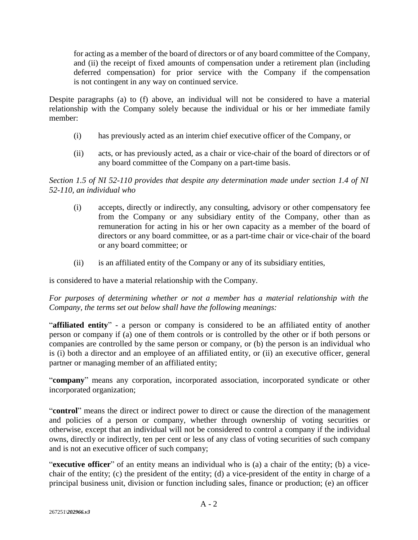for acting as a member of the board of directors or of any board committee of the Company, and (ii) the receipt of fixed amounts of compensation under a retirement plan (including deferred compensation) for prior service with the Company if the compensation is not contingent in any way on continued service.

Despite paragraphs (a) to (f) above, an individual will not be considered to have a material relationship with the Company solely because the individual or his or her immediate family member:

- (i) has previously acted as an interim chief executive officer of the Company, or
- (ii) acts, or has previously acted, as a chair or vice-chair of the board of directors or of any board committee of the Company on a part-time basis.

*Section 1.5 of NI 52-110 provides that despite any determination made under section 1.4 of NI 52-110, an individual who*

- (i) accepts, directly or indirectly, any consulting, advisory or other compensatory fee from the Company or any subsidiary entity of the Company, other than as remuneration for acting in his or her own capacity as a member of the board of directors or any board committee, or as a part-time chair or vice-chair of the board or any board committee; or
- (ii) is an affiliated entity of the Company or any of its subsidiary entities,

is considered to have a material relationship with the Company.

*For purposes of determining whether or not a member has a material relationship with the Company, the terms set out below shall have the following meanings:*

"**affiliated entity**" - a person or company is considered to be an affiliated entity of another person or company if (a) one of them controls or is controlled by the other or if both persons or companies are controlled by the same person or company, or (b) the person is an individual who is (i) both a director and an employee of an affiliated entity, or (ii) an executive officer, general partner or managing member of an affiliated entity;

"**company**" means any corporation, incorporated association, incorporated syndicate or other incorporated organization;

"**control**" means the direct or indirect power to direct or cause the direction of the management and policies of a person or company, whether through ownership of voting securities or otherwise, except that an individual will not be considered to control a company if the individual owns, directly or indirectly, ten per cent or less of any class of voting securities of such company and is not an executive officer of such company;

"**executive officer**" of an entity means an individual who is (a) a chair of the entity; (b) a vicechair of the entity; (c) the president of the entity; (d) a vice-president of the entity in charge of a principal business unit, division or function including sales, finance or production; (e) an officer